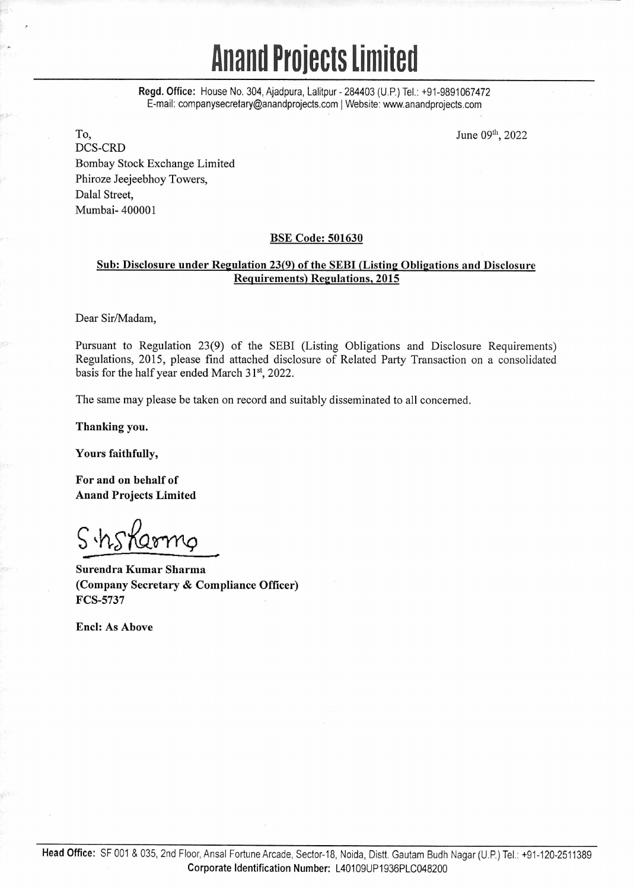# **hand Projects limited**

Regd. Office: House No. 304, Ajadpura, Lalitpur - 284403 (U.P.) Tel.: +91-9891067472 E-mail: companysecretary@anandprojects.com | Website: www.anandprojects.com

To, DCS-CRD Bombay Stock Exchange Limited Phiroze Jeejeebhoy Towers, Dalal Street, Mumbai- 400001

June 09th, 2022

## BSE Code: 501630

# Sub: Disclosure under Regulation 23(9) of the SEBI (Listing Obligations and Disclosure Requirements) Regulations, 2015

Dear Sir/Madam,

Pursuant to Regulation 23(9) of the SEBI (Listing Obligations and Disclosure Requirements) Regulations, 2015, please find attached disclosure of Related Party Transaction on a consolidated basis for the half year ended March 31", 2022.

The same may please be taken on record and suitably disseminated to all concerned.

Thanking you.

Yours faithfully,

For and on behalf of Anand Projects Limited

S.hsKarmg

Surendra Kumar Sharma (Company Secretary & Compliance Officer) FCS-5737

End: As Above